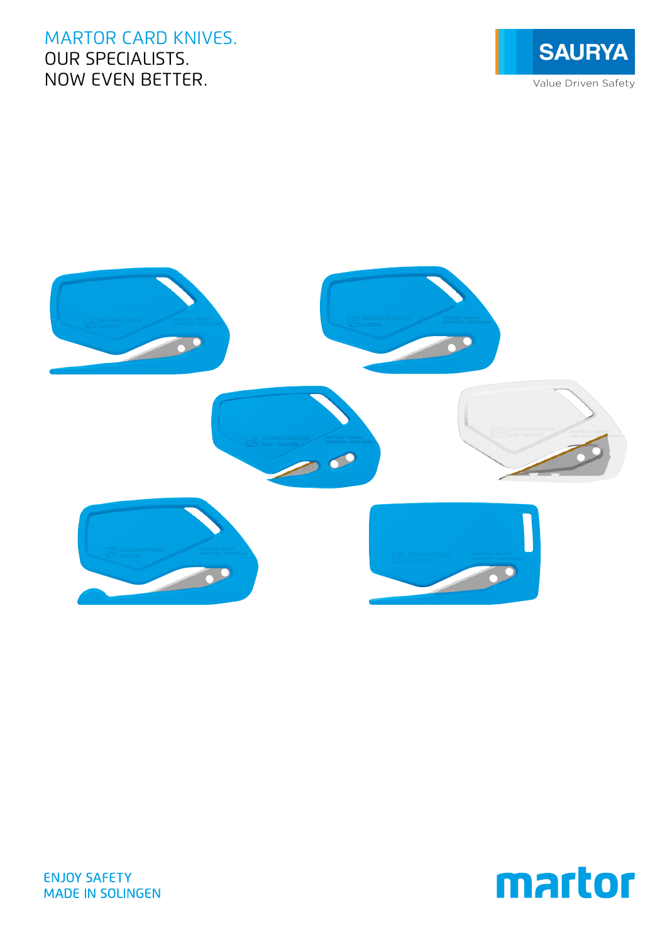# MARTOR CARD KNIVES. OUR SPECIALISTS. NOW EVEN BETTER.







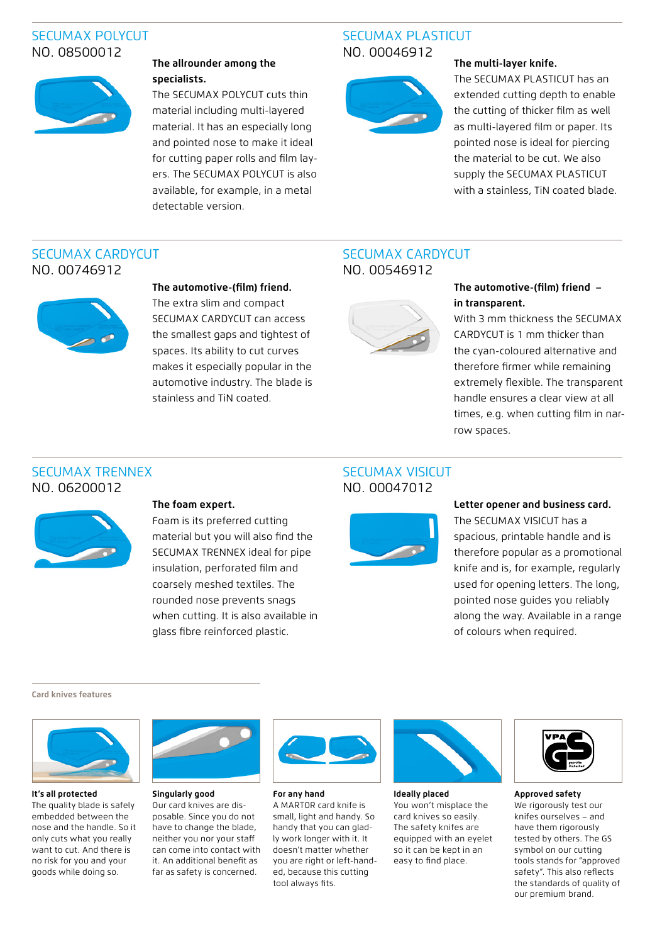## SECUMAX POLYCUT NO. 08500012



## **The allrounder among the specialists.**

The SECUMAX POLYCUT cuts thin material including multi-layered material. It has an especially long and pointed nose to make it ideal for cutting paper rolls and film layers. The SECUMAX POLYCUT is also available, for example, in a metal detectable version.

## SECUMAX PLASTICUT NO. 00046912



### **The multi-layer knife.**

The SECUMAX PLASTICUT has an extended cutting depth to enable the cutting of thicker film as well as multi-layered film or paper. Its pointed nose is ideal for piercing the material to be cut. We also supply the SECUMAX PLASTICUT with a stainless, TiN coated blade.

## SECUMAX CARDYCUT NO. 00746912



### **The automotive-(film) friend.**

The extra slim and compact SECUMAX CARDYCUT can access the smallest gaps and tightest of spaces. Its ability to cut curves makes it especially popular in the automotive industry. The blade is stainless and TiN coated.

## SECUMAX CARDYCUT NO. 00546912



## **The automotive-(film) friend – in transparent.**

With 3 mm thickness the SECUMAX CARDYCUT is 1 mm thicker than the cyan-coloured alternative and therefore firmer while remaining extremely flexible. The transparent handle ensures a clear view at all times, e.g. when cutting film in narrow spaces.

## SECUMAX TRENNEX NO. 06200012



### **The foam expert.**

Foam is its preferred cutting material but you will also find the SECUMAX TRENNEX ideal for pipe insulation, perforated film and coarsely meshed textiles. The rounded nose prevents snags when cutting. It is also available in glass fibre reinforced plastic.

## SECUMAX VISICUT NO. 00047012



### **Letter opener and business card.**

The SECUMAX VISICUT has a spacious, printable handle and is therefore popular as a promotional knife and is, for example, regularly used for opening letters. The long, pointed nose guides you reliably along the way. Available in a range of colours when required.

**Card knives features**



**It's all protected**

The quality blade is safely embedded between the nose and the handle. So it only cuts what you really want to cut. And there is no risk for you and your goods while doing so.



### **Singularly good**

Our card knives are disposable. Since you do not have to change the blade, neither you nor your staff can come into contact with it. An additional benefit as far as safety is concerned.



**For any hand** A MARTOR card knife is small, light and handy. So handy that you can gladly work longer with it. It doesn't matter whether you are right or left-handed, because this cutting tool always fits.



**Ideally placed**

You won't misplace the card knives so easily. The safety knifes are equipped with an eyelet so it can be kept in an easy to find place.



**Approved safety**

We rigorously test our knifes ourselves – and have them rigorously tested by others. The GS symbol on our cutting tools stands for "approved safety". This also reflects the standards of quality of our premium brand.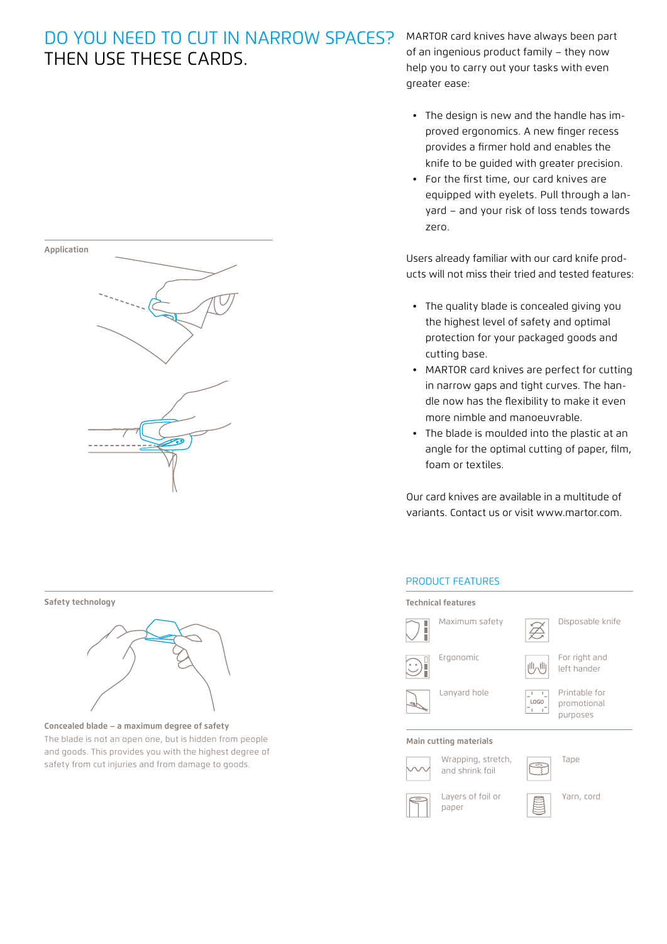# DO YOU NEED TO CUT IN NARROW SPACES? THEN USE THESE CARDS.

MARTOR card knives have always been part of an ingenious product family – they now help you to carry out your tasks with even greater ease:

- The design is new and the handle has improved ergonomics. A new finger recess provides a firmer hold and enables the knife to be guided with greater precision.
- For the first time, our card knives are equipped with eyelets. Pull through a lanyard – and your risk of loss tends towards zero.

Users already familiar with our card knife products will not miss their tried and tested features:

- The quality blade is concealed giving you the highest level of safety and optimal protection for your packaged goods and cutting base.
- MARTOR card knives are perfect for cutting in narrow gaps and tight curves. The handle now has the flexibility to make it even more nimble and manoeuvrable.
- The blade is moulded into the plastic at an angle for the optimal cutting of paper, film, foam or textiles.

Our card knives are available in a multitude of variants. Contact us or visit www.martor.com.

## PRODUCT FEATURES





#### **Safety technology**



**Concealed blade – a maximum degree of safety** The blade is not an open one, but is hidden from people and goods. This provides you with the highest degree of safety from cut injuries and from damage to goods.